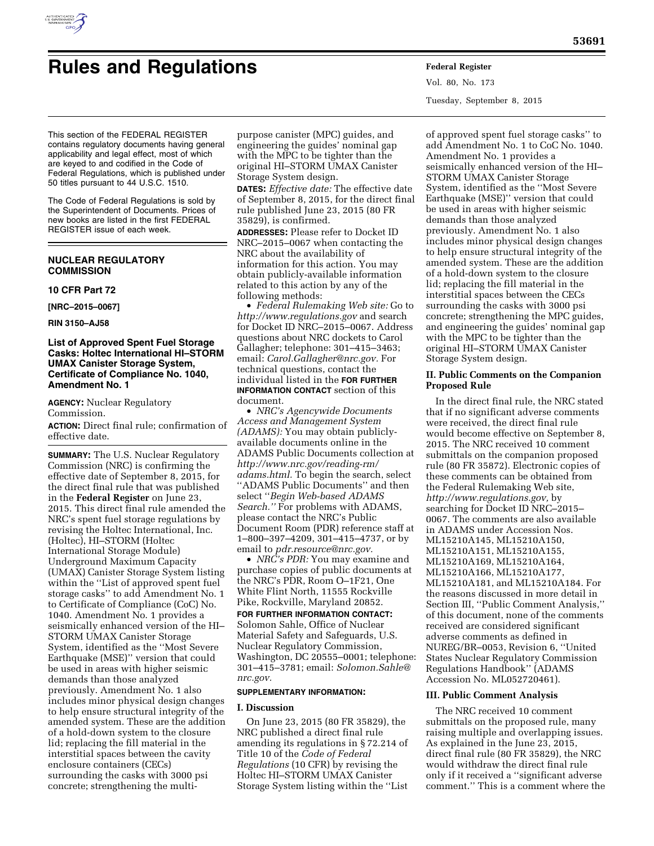

# **Rules and Regulations Federal Register**

Vol. 80, No. 173 Tuesday, September 8, 2015

This section of the FEDERAL REGISTER contains regulatory documents having general applicability and legal effect, most of which are keyed to and codified in the Code of Federal Regulations, which is published under 50 titles pursuant to 44 U.S.C. 1510.

The Code of Federal Regulations is sold by the Superintendent of Documents. Prices of new books are listed in the first FEDERAL REGISTER issue of each week.

# **NUCLEAR REGULATORY COMMISSION**

# **10 CFR Part 72**

**[NRC–2015–0067]** 

**RIN 3150–AJ58** 

# **List of Approved Spent Fuel Storage Casks: Holtec International HI–STORM UMAX Canister Storage System, Certificate of Compliance No. 1040, Amendment No. 1**

**AGENCY:** Nuclear Regulatory Commission.

**ACTION:** Direct final rule; confirmation of effective date.

**SUMMARY:** The U.S. Nuclear Regulatory Commission (NRC) is confirming the effective date of September 8, 2015, for the direct final rule that was published in the **Federal Register** on June 23, 2015. This direct final rule amended the NRC's spent fuel storage regulations by revising the Holtec International, Inc. (Holtec), HI–STORM (Holtec International Storage Module) Underground Maximum Capacity (UMAX) Canister Storage System listing within the ''List of approved spent fuel storage casks'' to add Amendment No. 1 to Certificate of Compliance (CoC) No. 1040. Amendment No. 1 provides a seismically enhanced version of the HI– STORM UMAX Canister Storage System, identified as the ''Most Severe Earthquake (MSE)'' version that could be used in areas with higher seismic demands than those analyzed previously. Amendment No. 1 also includes minor physical design changes to help ensure structural integrity of the amended system. These are the addition of a hold-down system to the closure lid; replacing the fill material in the interstitial spaces between the cavity enclosure containers (CECs) surrounding the casks with 3000 psi concrete; strengthening the multi-

purpose canister (MPC) guides, and engineering the guides' nominal gap with the MPC to be tighter than the original HI–STORM UMAX Canister Storage System design.

**DATES:** *Effective date:* The effective date of September 8, 2015, for the direct final rule published June 23, 2015 (80 FR 35829), is confirmed.

**ADDRESSES:** Please refer to Docket ID NRC–2015–0067 when contacting the NRC about the availability of information for this action. You may obtain publicly-available information related to this action by any of the following methods:

• *Federal Rulemaking Web site:* Go to *<http://www.regulations.gov>* and search for Docket ID NRC–2015–0067. Address questions about NRC dockets to Carol Gallagher; telephone: 301–415–3463; email: *[Carol.Gallagher@nrc.gov.](mailto:Carol.Gallagher@nrc.gov)* For technical questions, contact the individual listed in the **FOR FURTHER INFORMATION CONTACT** section of this document.

• *NRC's Agencywide Documents Access and Management System (ADAMS):* You may obtain publiclyavailable documents online in the ADAMS Public Documents collection at *[http://www.nrc.gov/reading-rm/](http://www.nrc.gov/reading-rm/adams.html) [adams.html.](http://www.nrc.gov/reading-rm/adams.html)* To begin the search, select ''ADAMS Public Documents'' and then select ''*Begin Web-based ADAMS Search.''* For problems with ADAMS, please contact the NRC's Public Document Room (PDR) reference staff at 1–800–397–4209, 301–415–4737, or by email to *[pdr.resource@nrc.gov.](mailto:pdr.resource@nrc.gov)* 

• *NRC's PDR:* You may examine and purchase copies of public documents at the NRC's PDR, Room O–1F21, One White Flint North, 11555 Rockville Pike, Rockville, Maryland 20852.

# **FOR FURTHER INFORMATION CONTACT:**

Solomon Sahle, Office of Nuclear Material Safety and Safeguards, U.S. Nuclear Regulatory Commission, Washington, DC 20555–0001; telephone: 301–415–3781; email: *[Solomon.Sahle@](mailto:Solomon.Sahle@nrc.gov) [nrc.gov.](mailto:Solomon.Sahle@nrc.gov)* 

# **SUPPLEMENTARY INFORMATION:**

# **I. Discussion**

On June 23, 2015 (80 FR 35829), the NRC published a direct final rule amending its regulations in § 72.214 of Title 10 of the *Code of Federal Regulations* (10 CFR) by revising the Holtec HI–STORM UMAX Canister Storage System listing within the ''List

of approved spent fuel storage casks'' to add Amendment No. 1 to CoC No. 1040. Amendment No. 1 provides a seismically enhanced version of the HI– STORM UMAX Canister Storage System, identified as the ''Most Severe Earthquake (MSE)'' version that could be used in areas with higher seismic demands than those analyzed previously. Amendment No. 1 also includes minor physical design changes to help ensure structural integrity of the amended system. These are the addition of a hold-down system to the closure lid; replacing the fill material in the interstitial spaces between the CECs surrounding the casks with 3000 psi concrete; strengthening the MPC guides, and engineering the guides' nominal gap with the MPC to be tighter than the original HI–STORM UMAX Canister Storage System design.

# **II. Public Comments on the Companion Proposed Rule**

In the direct final rule, the NRC stated that if no significant adverse comments were received, the direct final rule would become effective on September 8, 2015. The NRC received 10 comment submittals on the companion proposed rule (80 FR 35872). Electronic copies of these comments can be obtained from the Federal Rulemaking Web site, *[http://www.regulations.gov,](http://www.regulations.gov)* by searching for Docket ID NRC–2015– 0067. The comments are also available in ADAMS under Accession Nos. ML15210A145, ML15210A150, ML15210A151, ML15210A155, ML15210A169, ML15210A164, ML15210A166, ML15210A177, ML15210A181, and ML15210A184. For the reasons discussed in more detail in Section III, ''Public Comment Analysis,'' of this document, none of the comments received are considered significant adverse comments as defined in NUREG/BR–0053, Revision 6, ''United States Nuclear Regulatory Commission Regulations Handbook'' (ADAMS Accession No. ML052720461).

# **III. Public Comment Analysis**

The NRC received 10 comment submittals on the proposed rule, many raising multiple and overlapping issues. As explained in the June 23, 2015, direct final rule (80 FR 35829), the NRC would withdraw the direct final rule only if it received a ''significant adverse comment.'' This is a comment where the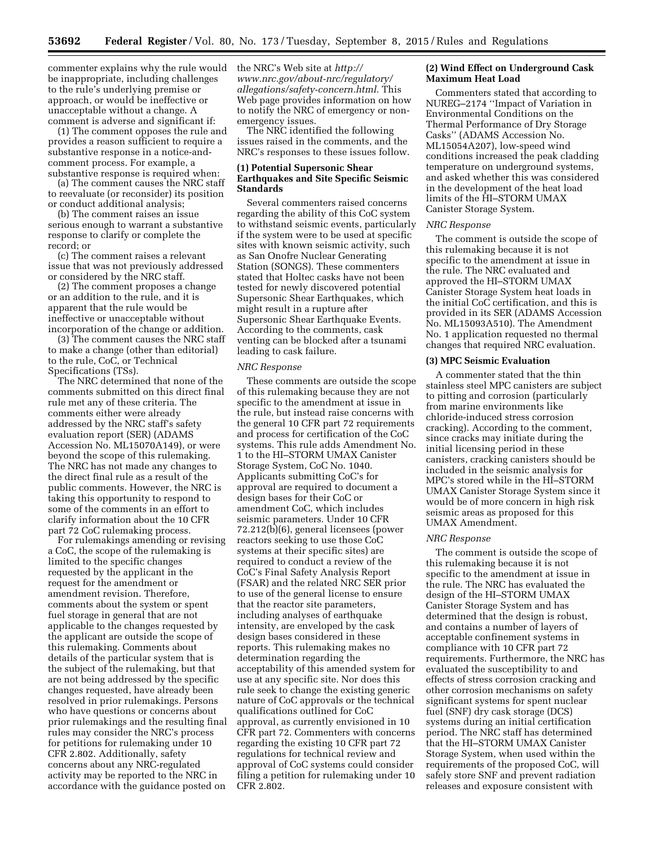commenter explains why the rule would be inappropriate, including challenges to the rule's underlying premise or approach, or would be ineffective or unacceptable without a change. A comment is adverse and significant if:

(1) The comment opposes the rule and provides a reason sufficient to require a substantive response in a notice-andcomment process. For example, a substantive response is required when:

(a) The comment causes the NRC staff to reevaluate (or reconsider) its position or conduct additional analysis;

(b) The comment raises an issue serious enough to warrant a substantive response to clarify or complete the record; or

(c) The comment raises a relevant issue that was not previously addressed or considered by the NRC staff.

(2) The comment proposes a change or an addition to the rule, and it is apparent that the rule would be ineffective or unacceptable without incorporation of the change or addition.

(3) The comment causes the NRC staff to make a change (other than editorial) to the rule, CoC, or Technical Specifications (TSs).

The NRC determined that none of the comments submitted on this direct final rule met any of these criteria. The comments either were already addressed by the NRC staff's safety evaluation report (SER) (ADAMS Accession No. ML15070A149), or were beyond the scope of this rulemaking. The NRC has not made any changes to the direct final rule as a result of the public comments. However, the NRC is taking this opportunity to respond to some of the comments in an effort to clarify information about the 10 CFR part 72 CoC rulemaking process.

For rulemakings amending or revising a CoC, the scope of the rulemaking is limited to the specific changes requested by the applicant in the request for the amendment or amendment revision. Therefore, comments about the system or spent fuel storage in general that are not applicable to the changes requested by the applicant are outside the scope of this rulemaking. Comments about details of the particular system that is the subject of the rulemaking, but that are not being addressed by the specific changes requested, have already been resolved in prior rulemakings. Persons who have questions or concerns about prior rulemakings and the resulting final rules may consider the NRC's process for petitions for rulemaking under 10 CFR 2.802. Additionally, safety concerns about any NRC-regulated activity may be reported to the NRC in accordance with the guidance posted on

the NRC's Web site at *[http://](http://www.nrc.gov/about-nrc/regulatory/allegations/safety-concern.html) [www.nrc.gov/about-nrc/regulatory/](http://www.nrc.gov/about-nrc/regulatory/allegations/safety-concern.html) [allegations/safety-concern.html.](http://www.nrc.gov/about-nrc/regulatory/allegations/safety-concern.html)* This Web page provides information on how to notify the NRC of emergency or nonemergency issues.

The NRC identified the following issues raised in the comments, and the NRC's responses to these issues follow.

# **(1) Potential Supersonic Shear Earthquakes and Site Specific Seismic Standards**

Several commenters raised concerns regarding the ability of this CoC system to withstand seismic events, particularly if the system were to be used at specific sites with known seismic activity, such as San Onofre Nuclear Generating Station (SONGS). These commenters stated that Holtec casks have not been tested for newly discovered potential Supersonic Shear Earthquakes, which might result in a rupture after Supersonic Shear Earthquake Events. According to the comments, cask venting can be blocked after a tsunami leading to cask failure.

#### *NRC Response*

These comments are outside the scope of this rulemaking because they are not specific to the amendment at issue in the rule, but instead raise concerns with the general 10 CFR part 72 requirements and process for certification of the CoC systems. This rule adds Amendment No. 1 to the HI–STORM UMAX Canister Storage System, CoC No. 1040. Applicants submitting CoC's for approval are required to document a design bases for their CoC or amendment CoC, which includes seismic parameters. Under 10 CFR 72.212(b)(6), general licensees (power reactors seeking to use those CoC systems at their specific sites) are required to conduct a review of the CoC's Final Safety Analysis Report (FSAR) and the related NRC SER prior to use of the general license to ensure that the reactor site parameters, including analyses of earthquake intensity, are enveloped by the cask design bases considered in these reports. This rulemaking makes no determination regarding the acceptability of this amended system for use at any specific site. Nor does this rule seek to change the existing generic nature of CoC approvals or the technical qualifications outlined for CoC approval, as currently envisioned in 10 CFR part 72. Commenters with concerns regarding the existing 10 CFR part 72 regulations for technical review and approval of CoC systems could consider filing a petition for rulemaking under 10 CFR 2.802.

## **(2) Wind Effect on Underground Cask Maximum Heat Load**

Commenters stated that according to NUREG–2174 ''Impact of Variation in Environmental Conditions on the Thermal Performance of Dry Storage Casks'' (ADAMS Accession No. ML15054A207), low-speed wind conditions increased the peak cladding temperature on underground systems, and asked whether this was considered in the development of the heat load limits of the HI–STORM UMAX Canister Storage System.

#### *NRC Response*

The comment is outside the scope of this rulemaking because it is not specific to the amendment at issue in the rule. The NRC evaluated and approved the HI–STORM UMAX Canister Storage System heat loads in the initial CoC certification, and this is provided in its SER (ADAMS Accession No. ML15093A510). The Amendment No. 1 application requested no thermal changes that required NRC evaluation.

# **(3) MPC Seismic Evaluation**

A commenter stated that the thin stainless steel MPC canisters are subject to pitting and corrosion (particularly from marine environments like chloride-induced stress corrosion cracking). According to the comment, since cracks may initiate during the initial licensing period in these canisters, cracking canisters should be included in the seismic analysis for MPC's stored while in the HI–STORM UMAX Canister Storage System since it would be of more concern in high risk seismic areas as proposed for this UMAX Amendment.

#### *NRC Response*

The comment is outside the scope of this rulemaking because it is not specific to the amendment at issue in the rule. The NRC has evaluated the design of the HI–STORM UMAX Canister Storage System and has determined that the design is robust, and contains a number of layers of acceptable confinement systems in compliance with 10 CFR part 72 requirements. Furthermore, the NRC has evaluated the susceptibility to and effects of stress corrosion cracking and other corrosion mechanisms on safety significant systems for spent nuclear fuel (SNF) dry cask storage (DCS) systems during an initial certification period. The NRC staff has determined that the HI–STORM UMAX Canister Storage System, when used within the requirements of the proposed CoC, will safely store SNF and prevent radiation releases and exposure consistent with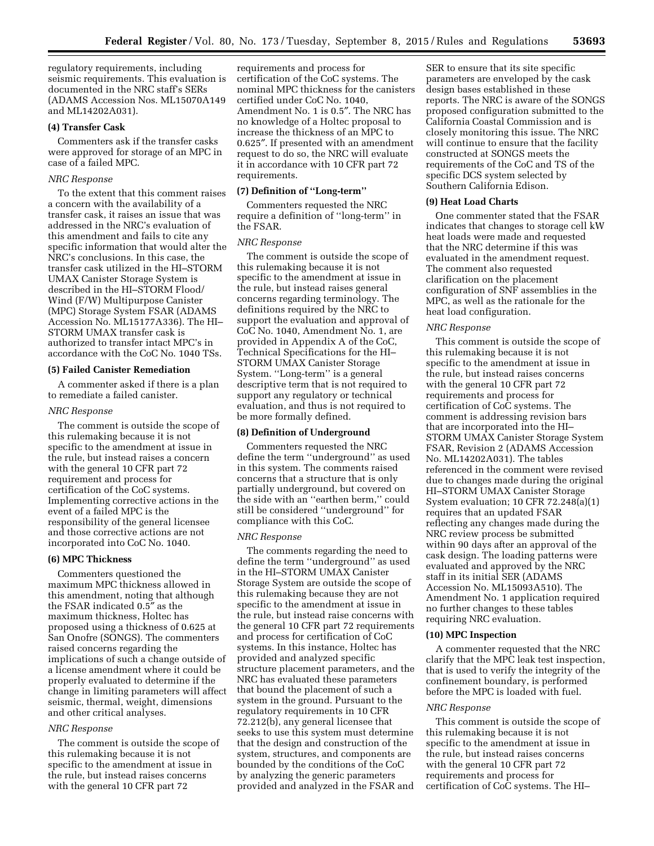regulatory requirements, including seismic requirements. This evaluation is documented in the NRC staff's SERs (ADAMS Accession Nos. ML15070A149 and ML14202A031).

# **(4) Transfer Cask**

Commenters ask if the transfer casks were approved for storage of an MPC in case of a failed MPC.

## *NRC Response*

To the extent that this comment raises a concern with the availability of a transfer cask, it raises an issue that was addressed in the NRC's evaluation of this amendment and fails to cite any specific information that would alter the NRC's conclusions. In this case, the transfer cask utilized in the HI–STORM UMAX Canister Storage System is described in the HI–STORM Flood/ Wind (F/W) Multipurpose Canister (MPC) Storage System FSAR (ADAMS Accession No. ML15177A336). The HI– STORM UMAX transfer cask is authorized to transfer intact MPC's in accordance with the CoC No. 1040 TSs.

# **(5) Failed Canister Remediation**

A commenter asked if there is a plan to remediate a failed canister.

#### *NRC Response*

The comment is outside the scope of this rulemaking because it is not specific to the amendment at issue in the rule, but instead raises a concern with the general 10 CFR part 72 requirement and process for certification of the CoC systems. Implementing corrective actions in the event of a failed MPC is the responsibility of the general licensee and those corrective actions are not incorporated into CoC No. 1040.

#### **(6) MPC Thickness**

Commenters questioned the maximum MPC thickness allowed in this amendment, noting that although the FSAR indicated 0.5″ as the maximum thickness, Holtec has proposed using a thickness of 0.625 at San Onofre (SONGS). The commenters raised concerns regarding the implications of such a change outside of a license amendment where it could be properly evaluated to determine if the change in limiting parameters will affect seismic, thermal, weight, dimensions and other critical analyses.

# *NRC Response*

The comment is outside the scope of this rulemaking because it is not specific to the amendment at issue in the rule, but instead raises concerns with the general 10 CFR part 72

requirements and process for certification of the CoC systems. The nominal MPC thickness for the canisters certified under CoC No. 1040, Amendment No. 1 is 0.5″. The NRC has no knowledge of a Holtec proposal to increase the thickness of an MPC to 0.625″. If presented with an amendment request to do so, the NRC will evaluate it in accordance with 10 CFR part 72 requirements.

#### **(7) Definition of ''Long-term''**

Commenters requested the NRC require a definition of ''long-term'' in the FSAR.

# *NRC Response*

The comment is outside the scope of this rulemaking because it is not specific to the amendment at issue in the rule, but instead raises general concerns regarding terminology. The definitions required by the NRC to support the evaluation and approval of CoC No. 1040, Amendment No. 1, are provided in Appendix A of the CoC, Technical Specifications for the HI– STORM UMAX Canister Storage System. ''Long-term'' is a general descriptive term that is not required to support any regulatory or technical evaluation, and thus is not required to be more formally defined.

#### **(8) Definition of Underground**

Commenters requested the NRC define the term ''underground'' as used in this system. The comments raised concerns that a structure that is only partially underground, but covered on the side with an ''earthen berm,'' could still be considered ''underground'' for compliance with this CoC.

#### *NRC Response*

The comments regarding the need to define the term ''underground'' as used in the HI–STORM UMAX Canister Storage System are outside the scope of this rulemaking because they are not specific to the amendment at issue in the rule, but instead raise concerns with the general 10 CFR part 72 requirements and process for certification of CoC systems. In this instance, Holtec has provided and analyzed specific structure placement parameters, and the NRC has evaluated these parameters that bound the placement of such a system in the ground. Pursuant to the regulatory requirements in 10 CFR 72.212(b), any general licensee that seeks to use this system must determine that the design and construction of the system, structures, and components are bounded by the conditions of the CoC by analyzing the generic parameters provided and analyzed in the FSAR and

SER to ensure that its site specific parameters are enveloped by the cask design bases established in these reports. The NRC is aware of the SONGS proposed configuration submitted to the California Coastal Commission and is closely monitoring this issue. The NRC will continue to ensure that the facility constructed at SONGS meets the requirements of the CoC and TS of the specific DCS system selected by Southern California Edison.

#### **(9) Heat Load Charts**

One commenter stated that the FSAR indicates that changes to storage cell kW heat loads were made and requested that the NRC determine if this was evaluated in the amendment request. The comment also requested clarification on the placement configuration of SNF assemblies in the MPC, as well as the rationale for the heat load configuration.

#### *NRC Response*

This comment is outside the scope of this rulemaking because it is not specific to the amendment at issue in the rule, but instead raises concerns with the general 10 CFR part 72 requirements and process for certification of CoC systems. The comment is addressing revision bars that are incorporated into the HI– STORM UMAX Canister Storage System FSAR, Revision 2 (ADAMS Accession No. ML14202A031). The tables referenced in the comment were revised due to changes made during the original HI–STORM UMAX Canister Storage System evaluation; 10 CFR 72.248(a)(1) requires that an updated FSAR reflecting any changes made during the NRC review process be submitted within 90 days after an approval of the cask design. The loading patterns were evaluated and approved by the NRC staff in its initial SER (ADAMS Accession No. ML15093A510). The Amendment No. 1 application required no further changes to these tables requiring NRC evaluation.

### **(10) MPC Inspection**

A commenter requested that the NRC clarify that the MPC leak test inspection, that is used to verify the integrity of the confinement boundary, is performed before the MPC is loaded with fuel.

#### *NRC Response*

This comment is outside the scope of this rulemaking because it is not specific to the amendment at issue in the rule, but instead raises concerns with the general 10 CFR part 72 requirements and process for certification of CoC systems. The HI–